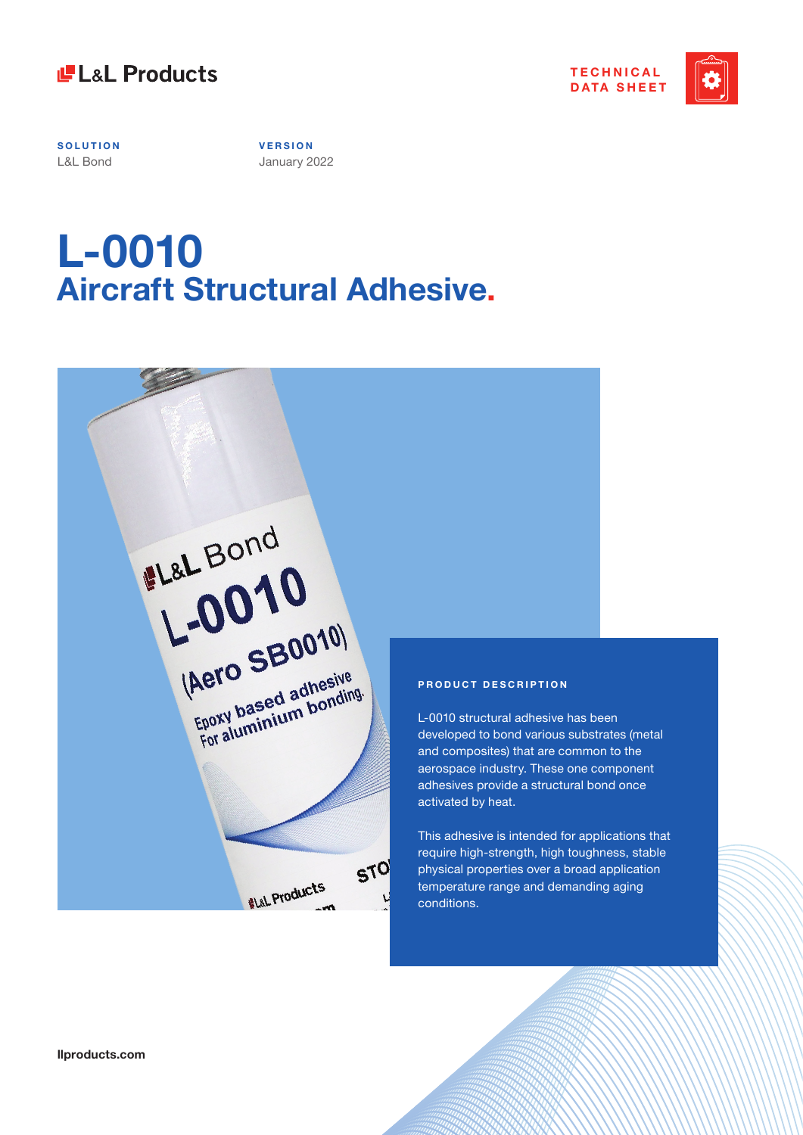

Charles Comment Comment Comment



**SOLUTION** L&L Bond

**V E R S I O N**  January 2022

# **L-0010 Aircraft Structural Adhesive.**

| EL&L Bond                                      |                                              |
|------------------------------------------------|----------------------------------------------|
| 1.0010<br>(Aero SB0010)                        |                                              |
| Epoxy based adhesive<br>For aluminium bonding. | PRO<br>$L-00$<br>deve<br>and                 |
|                                                | aero<br>adhe<br>activ<br><b>This</b><br>requ |
| <b>STO</b><br><b>WL&amp;L Products</b>         | phys<br>temp<br>cond                         |

#### **PRODUCT DESCRIPTION**

10 structural adhesive has been loped to bond various substrates (metal composites) that are common to the space industry. These one component esives provide a structural bond once ated by heat.

adhesive is intended for applications that ire high-strength, high toughness, stable ical properties over a broad application berature range and demanding aging ditions.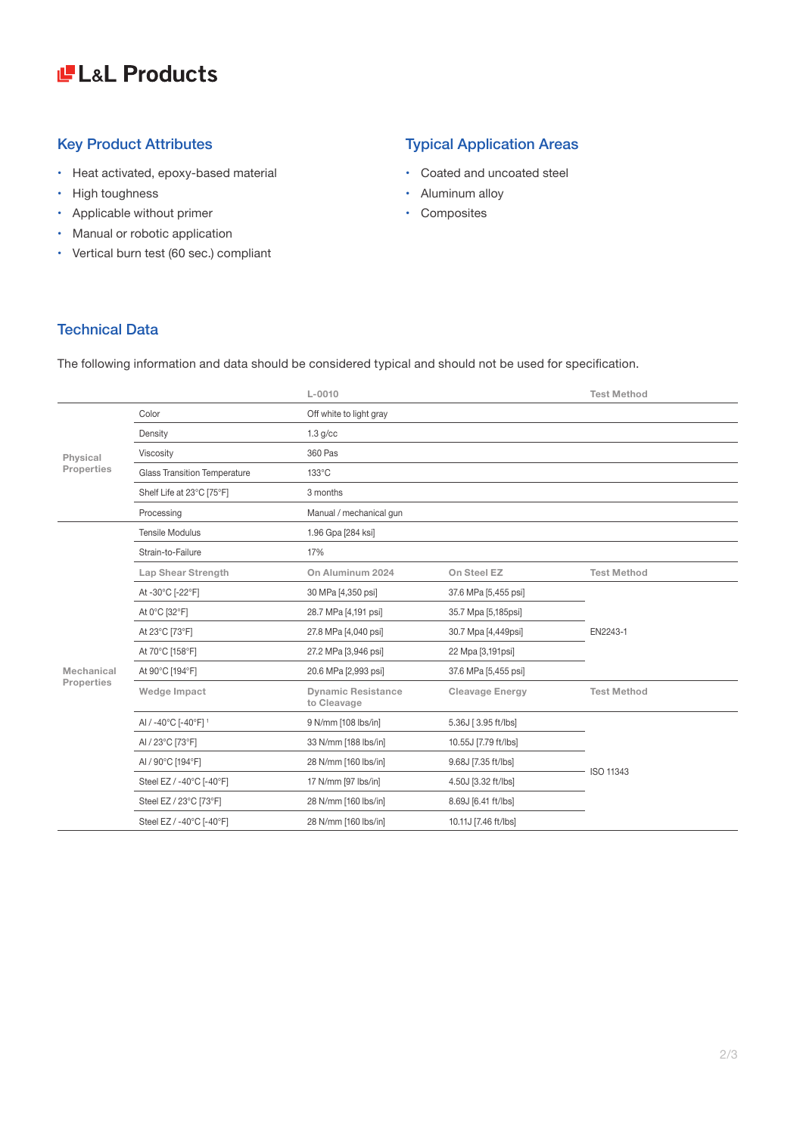## LaL Products

- • Heat activated, epoxy-based material
- High toughness
- • Applicable without primer
- Manual or robotic application
- • Vertical burn test (60 sec.) compliant

### Key Product Attributes **Typical Application Areas**

- • Coated and uncoated steel
- Aluminum alloy
- • Composites

### Technical Data

The following information and data should be considered typical and should not be used for specification.

|                          |                                     | $L - 0010$                               |                        | <b>Test Method</b> |
|--------------------------|-------------------------------------|------------------------------------------|------------------------|--------------------|
| Physical<br>Properties   | Color                               | Off white to light gray                  |                        |                    |
|                          | Density                             | $1.3$ g/cc                               |                        |                    |
|                          | Viscosity                           | 360 Pas                                  |                        |                    |
|                          | <b>Glass Transition Temperature</b> | 133°C                                    |                        |                    |
|                          | Shelf Life at 23°C [75°F]           | 3 months                                 |                        |                    |
|                          | Processing                          | Manual / mechanical gun                  |                        |                    |
| Mechanical<br>Properties | <b>Tensile Modulus</b>              | 1.96 Gpa [284 ksi]                       |                        |                    |
|                          | Strain-to-Failure                   | 17%                                      |                        |                    |
|                          | Lap Shear Strength                  | On Aluminum 2024                         | On Steel EZ            | <b>Test Method</b> |
|                          | At -30°C [-22°F]                    | 30 MPa [4,350 psi]                       | 37.6 MPa [5,455 psi]   | EN2243-1           |
|                          | At 0°C [32°F]                       | 28.7 MPa [4,191 psi]                     | 35.7 Mpa [5,185psi]    |                    |
|                          | At 23°C [73°F]                      | 27.8 MPa [4,040 psi]                     | 30.7 Mpa [4,449psi]    |                    |
|                          | At 70°C [158°F]                     | 27.2 MPa [3,946 psi]                     | 22 Mpa [3,191psi]      |                    |
|                          | At 90°C [194°F]                     | 20.6 MPa [2,993 psi]                     | 37.6 MPa [5,455 psi]   |                    |
|                          | Wedge Impact                        | <b>Dynamic Resistance</b><br>to Cleavage | <b>Cleavage Energy</b> | <b>Test Method</b> |
|                          | AI / -40°C [-40°F] 1                | 9 N/mm [108 lbs/in]                      | 5.36J [3.95 ft/lbs]    |                    |
|                          | AI / 23°C [73°F]                    | 33 N/mm [188 lbs/in]                     | 10.55J [7.79 ft/lbs]   | <b>ISO 11343</b>   |
|                          | AI / 90°C [194°F]                   | 28 N/mm [160 lbs/in]                     | 9.68J [7.35 ft/lbs]    |                    |
|                          | Steel EZ / -40°C [-40°F]            | 17 N/mm [97 lbs/in]                      | 4.50J [3.32 ft/lbs]    |                    |
|                          | Steel EZ / 23°C [73°F]              | 28 N/mm [160 lbs/in]                     | 8.69J [6.41 ft/lbs]    |                    |
|                          | Steel EZ / -40°C [-40°F]            | 28 N/mm [160 lbs/in]                     | 10.11J [7.46 ft/lbs]   |                    |